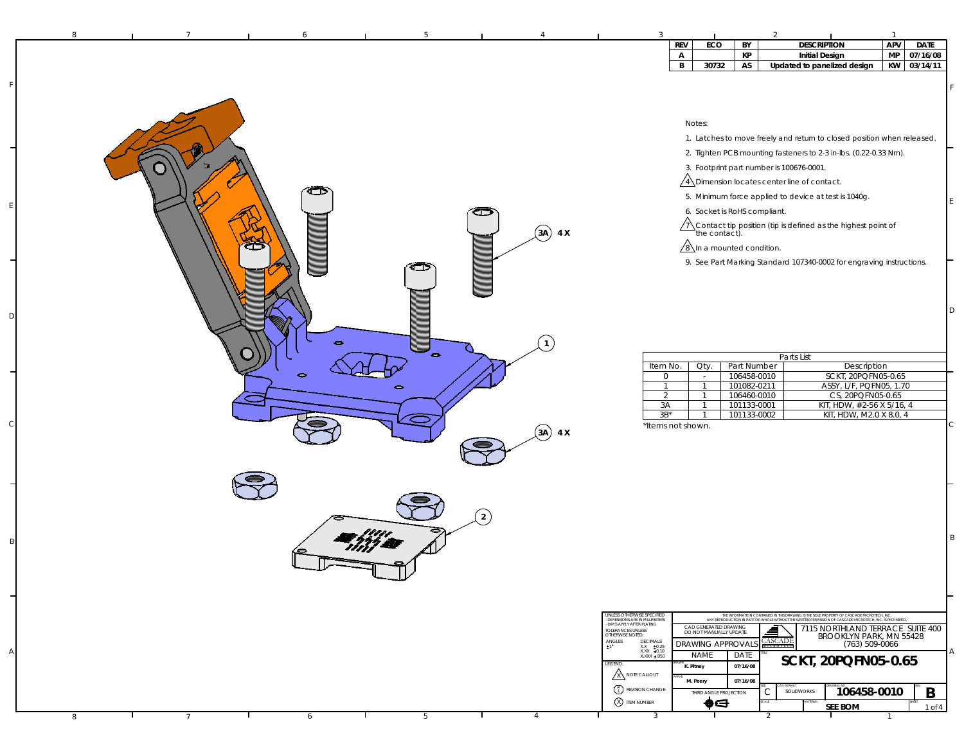| ECO<br>REV<br>BY<br>MP<br>KP<br>07/16/08<br>$\mathsf{A}$<br><b>Initial Design</b><br>30732<br>$\, {\bf B} \,$<br>AS<br>KW 03/14/11<br>Updated to panelized design<br>Notes:<br>1. Latches to move freely and return to closed position when released.<br>2. Tighten PCB mounting fasteners to 2-3 in-lbs. (0.22-0.33 Nm).<br>3. Footprint part number is 100676-0001.<br>$\sqrt{4}$ Dimension locates center line of contact.<br>☎<br>5. Minimum force applied to device at test is 1040g.<br>6. Socket is RoHS compliant.<br>$\sqrt{1}$ Contact tip position (tip is defined as the highest point of the contact).<br>$(3A)$ 4 X<br>⊂<br>$\sqrt{8}$ In a mounted condition.<br>9. See Part Marking Standard 107340-0002 for engraving instructions.<br>ت<br>$\bullet$<br>$\bullet$<br>Parts List<br>Description<br>Item No.<br>Oty.<br>Part Number<br>106458-0010<br>SCKT, 20PQFN05-0.65<br>$\circ$<br>$\sim$<br>101082-0211<br>ASSY, L/F, PQFN05, 1.70<br>$\mathbf{1}$<br>$\overline{1}$<br>$\Rightarrow$<br>2<br>106460-0010<br>CS, 20PQFN05-0.65<br>$\overline{1}$<br>101133-0001<br>KIT, HDW, #2-56 X 5/16, 4<br>3A<br>$\overline{1}$<br>$3B*$<br>101133-0002<br>KIT, HDW, M2.0 X 8.0, 4<br>$\overline{1}$<br>*Items not shown.<br>$(3A)$ 4 X<br>$\left( 2 \right)$<br>UNLESS OTHERWISE SPECIFIED<br>THE INFORMATION CONTAINED IN THIS DRAWING IS THE SOLE PROPERTY OF CASCADE MICROTECH, INC.<br>ANY REPRODUCTION IN PART OR WHOLE WITHOUT THE WRITEN PERMISSION OF CASCADE MICROTECH, INC. IS PROHBITED<br>- DIMENSIONS ARE IN MILLIMETERS<br>- DIMS APPLY AFTER PLATING<br>CAD GENERATED DRAWING<br>₫<br>7115 NORTHLAND TERRACE SUITE 400<br>TOLERANCES UNLESS<br>OTHERWISE NOTED:<br>DO NOT MANUALLY UPDATE<br>BROOKLYN PARK, MN 55428<br>CASCADE<br>$\mathop{\hbox{ANGLES}}_{\pm 1}$<br>DECIMALS<br>DRAWING APPROVAL!<br>(763) 509-0066<br>$\begin{array}{cc} \text{XXX} & \pm 0.25 \\ \text{XXX} & \pm 0.10 \\ \text{XXX} & \pm .050 \end{array}$<br>MICROTEC<br><b>NAME</b><br>DATE<br>SCKT, 20PQFN05-0.65<br>LEGEND:<br>K. Pitney<br>07/16/08<br><b>X NOTE CALLOUT</b><br>07/16/08<br>M. Peery<br>$\begin{pmatrix} A \\ 1 \end{pmatrix}$ REVISION CHANGE<br>B<br>106458-0010<br>SOLIDWORKS<br>С<br>THIRD ANGLE PROJECTION<br><b>8</b> TEM NUMBER<br>$\bullet$ d<br><b>SEE BOM</b><br>$1$ of $4$ | 8 |                 | 6 | 5 |  | 3              |  |                    | $\overline{1}$ |             |
|--------------------------------------------------------------------------------------------------------------------------------------------------------------------------------------------------------------------------------------------------------------------------------------------------------------------------------------------------------------------------------------------------------------------------------------------------------------------------------------------------------------------------------------------------------------------------------------------------------------------------------------------------------------------------------------------------------------------------------------------------------------------------------------------------------------------------------------------------------------------------------------------------------------------------------------------------------------------------------------------------------------------------------------------------------------------------------------------------------------------------------------------------------------------------------------------------------------------------------------------------------------------------------------------------------------------------------------------------------------------------------------------------------------------------------------------------------------------------------------------------------------------------------------------------------------------------------------------------------------------------------------------------------------------------------------------------------------------------------------------------------------------------------------------------------------------------------------------------------------------------------------------------------------------------------------------------------------------------------------------------------------------------------------------------------------------------------------------------------------------------------------------------------------------------------------------------------------------------------------------------------------------------------------------------------------|---|-----------------|---|---|--|----------------|--|--------------------|----------------|-------------|
|                                                                                                                                                                                                                                                                                                                                                                                                                                                                                                                                                                                                                                                                                                                                                                                                                                                                                                                                                                                                                                                                                                                                                                                                                                                                                                                                                                                                                                                                                                                                                                                                                                                                                                                                                                                                                                                                                                                                                                                                                                                                                                                                                                                                                                                                                                              |   |                 |   |   |  |                |  | <b>DESCRIPTION</b> | APV            | <b>DATE</b> |
|                                                                                                                                                                                                                                                                                                                                                                                                                                                                                                                                                                                                                                                                                                                                                                                                                                                                                                                                                                                                                                                                                                                                                                                                                                                                                                                                                                                                                                                                                                                                                                                                                                                                                                                                                                                                                                                                                                                                                                                                                                                                                                                                                                                                                                                                                                              |   |                 |   |   |  |                |  |                    |                |             |
|                                                                                                                                                                                                                                                                                                                                                                                                                                                                                                                                                                                                                                                                                                                                                                                                                                                                                                                                                                                                                                                                                                                                                                                                                                                                                                                                                                                                                                                                                                                                                                                                                                                                                                                                                                                                                                                                                                                                                                                                                                                                                                                                                                                                                                                                                                              |   |                 |   |   |  |                |  |                    |                |             |
|                                                                                                                                                                                                                                                                                                                                                                                                                                                                                                                                                                                                                                                                                                                                                                                                                                                                                                                                                                                                                                                                                                                                                                                                                                                                                                                                                                                                                                                                                                                                                                                                                                                                                                                                                                                                                                                                                                                                                                                                                                                                                                                                                                                                                                                                                                              |   |                 |   |   |  |                |  |                    |                |             |
|                                                                                                                                                                                                                                                                                                                                                                                                                                                                                                                                                                                                                                                                                                                                                                                                                                                                                                                                                                                                                                                                                                                                                                                                                                                                                                                                                                                                                                                                                                                                                                                                                                                                                                                                                                                                                                                                                                                                                                                                                                                                                                                                                                                                                                                                                                              |   |                 |   |   |  |                |  |                    |                |             |
|                                                                                                                                                                                                                                                                                                                                                                                                                                                                                                                                                                                                                                                                                                                                                                                                                                                                                                                                                                                                                                                                                                                                                                                                                                                                                                                                                                                                                                                                                                                                                                                                                                                                                                                                                                                                                                                                                                                                                                                                                                                                                                                                                                                                                                                                                                              |   |                 |   |   |  |                |  |                    |                |             |
|                                                                                                                                                                                                                                                                                                                                                                                                                                                                                                                                                                                                                                                                                                                                                                                                                                                                                                                                                                                                                                                                                                                                                                                                                                                                                                                                                                                                                                                                                                                                                                                                                                                                                                                                                                                                                                                                                                                                                                                                                                                                                                                                                                                                                                                                                                              |   |                 |   |   |  |                |  |                    |                |             |
|                                                                                                                                                                                                                                                                                                                                                                                                                                                                                                                                                                                                                                                                                                                                                                                                                                                                                                                                                                                                                                                                                                                                                                                                                                                                                                                                                                                                                                                                                                                                                                                                                                                                                                                                                                                                                                                                                                                                                                                                                                                                                                                                                                                                                                                                                                              |   |                 |   |   |  |                |  |                    |                |             |
|                                                                                                                                                                                                                                                                                                                                                                                                                                                                                                                                                                                                                                                                                                                                                                                                                                                                                                                                                                                                                                                                                                                                                                                                                                                                                                                                                                                                                                                                                                                                                                                                                                                                                                                                                                                                                                                                                                                                                                                                                                                                                                                                                                                                                                                                                                              |   |                 |   |   |  |                |  |                    |                |             |
|                                                                                                                                                                                                                                                                                                                                                                                                                                                                                                                                                                                                                                                                                                                                                                                                                                                                                                                                                                                                                                                                                                                                                                                                                                                                                                                                                                                                                                                                                                                                                                                                                                                                                                                                                                                                                                                                                                                                                                                                                                                                                                                                                                                                                                                                                                              |   |                 |   |   |  |                |  |                    |                |             |
|                                                                                                                                                                                                                                                                                                                                                                                                                                                                                                                                                                                                                                                                                                                                                                                                                                                                                                                                                                                                                                                                                                                                                                                                                                                                                                                                                                                                                                                                                                                                                                                                                                                                                                                                                                                                                                                                                                                                                                                                                                                                                                                                                                                                                                                                                                              |   |                 |   |   |  |                |  |                    |                |             |
|                                                                                                                                                                                                                                                                                                                                                                                                                                                                                                                                                                                                                                                                                                                                                                                                                                                                                                                                                                                                                                                                                                                                                                                                                                                                                                                                                                                                                                                                                                                                                                                                                                                                                                                                                                                                                                                                                                                                                                                                                                                                                                                                                                                                                                                                                                              |   |                 |   |   |  |                |  |                    |                |             |
|                                                                                                                                                                                                                                                                                                                                                                                                                                                                                                                                                                                                                                                                                                                                                                                                                                                                                                                                                                                                                                                                                                                                                                                                                                                                                                                                                                                                                                                                                                                                                                                                                                                                                                                                                                                                                                                                                                                                                                                                                                                                                                                                                                                                                                                                                                              |   |                 |   |   |  |                |  |                    |                |             |
|                                                                                                                                                                                                                                                                                                                                                                                                                                                                                                                                                                                                                                                                                                                                                                                                                                                                                                                                                                                                                                                                                                                                                                                                                                                                                                                                                                                                                                                                                                                                                                                                                                                                                                                                                                                                                                                                                                                                                                                                                                                                                                                                                                                                                                                                                                              |   |                 |   |   |  |                |  |                    |                |             |
|                                                                                                                                                                                                                                                                                                                                                                                                                                                                                                                                                                                                                                                                                                                                                                                                                                                                                                                                                                                                                                                                                                                                                                                                                                                                                                                                                                                                                                                                                                                                                                                                                                                                                                                                                                                                                                                                                                                                                                                                                                                                                                                                                                                                                                                                                                              |   |                 |   |   |  |                |  |                    |                |             |
|                                                                                                                                                                                                                                                                                                                                                                                                                                                                                                                                                                                                                                                                                                                                                                                                                                                                                                                                                                                                                                                                                                                                                                                                                                                                                                                                                                                                                                                                                                                                                                                                                                                                                                                                                                                                                                                                                                                                                                                                                                                                                                                                                                                                                                                                                                              |   |                 |   |   |  |                |  |                    |                |             |
|                                                                                                                                                                                                                                                                                                                                                                                                                                                                                                                                                                                                                                                                                                                                                                                                                                                                                                                                                                                                                                                                                                                                                                                                                                                                                                                                                                                                                                                                                                                                                                                                                                                                                                                                                                                                                                                                                                                                                                                                                                                                                                                                                                                                                                                                                                              |   |                 |   |   |  |                |  |                    |                |             |
|                                                                                                                                                                                                                                                                                                                                                                                                                                                                                                                                                                                                                                                                                                                                                                                                                                                                                                                                                                                                                                                                                                                                                                                                                                                                                                                                                                                                                                                                                                                                                                                                                                                                                                                                                                                                                                                                                                                                                                                                                                                                                                                                                                                                                                                                                                              |   |                 |   |   |  |                |  |                    |                |             |
|                                                                                                                                                                                                                                                                                                                                                                                                                                                                                                                                                                                                                                                                                                                                                                                                                                                                                                                                                                                                                                                                                                                                                                                                                                                                                                                                                                                                                                                                                                                                                                                                                                                                                                                                                                                                                                                                                                                                                                                                                                                                                                                                                                                                                                                                                                              |   |                 |   |   |  |                |  |                    |                |             |
|                                                                                                                                                                                                                                                                                                                                                                                                                                                                                                                                                                                                                                                                                                                                                                                                                                                                                                                                                                                                                                                                                                                                                                                                                                                                                                                                                                                                                                                                                                                                                                                                                                                                                                                                                                                                                                                                                                                                                                                                                                                                                                                                                                                                                                                                                                              |   |                 |   |   |  |                |  |                    |                |             |
|                                                                                                                                                                                                                                                                                                                                                                                                                                                                                                                                                                                                                                                                                                                                                                                                                                                                                                                                                                                                                                                                                                                                                                                                                                                                                                                                                                                                                                                                                                                                                                                                                                                                                                                                                                                                                                                                                                                                                                                                                                                                                                                                                                                                                                                                                                              |   |                 |   |   |  |                |  |                    |                |             |
|                                                                                                                                                                                                                                                                                                                                                                                                                                                                                                                                                                                                                                                                                                                                                                                                                                                                                                                                                                                                                                                                                                                                                                                                                                                                                                                                                                                                                                                                                                                                                                                                                                                                                                                                                                                                                                                                                                                                                                                                                                                                                                                                                                                                                                                                                                              |   |                 |   |   |  |                |  |                    |                |             |
|                                                                                                                                                                                                                                                                                                                                                                                                                                                                                                                                                                                                                                                                                                                                                                                                                                                                                                                                                                                                                                                                                                                                                                                                                                                                                                                                                                                                                                                                                                                                                                                                                                                                                                                                                                                                                                                                                                                                                                                                                                                                                                                                                                                                                                                                                                              |   |                 |   |   |  |                |  |                    |                |             |
|                                                                                                                                                                                                                                                                                                                                                                                                                                                                                                                                                                                                                                                                                                                                                                                                                                                                                                                                                                                                                                                                                                                                                                                                                                                                                                                                                                                                                                                                                                                                                                                                                                                                                                                                                                                                                                                                                                                                                                                                                                                                                                                                                                                                                                                                                                              |   |                 |   |   |  |                |  |                    |                |             |
|                                                                                                                                                                                                                                                                                                                                                                                                                                                                                                                                                                                                                                                                                                                                                                                                                                                                                                                                                                                                                                                                                                                                                                                                                                                                                                                                                                                                                                                                                                                                                                                                                                                                                                                                                                                                                                                                                                                                                                                                                                                                                                                                                                                                                                                                                                              |   |                 |   |   |  |                |  |                    |                |             |
|                                                                                                                                                                                                                                                                                                                                                                                                                                                                                                                                                                                                                                                                                                                                                                                                                                                                                                                                                                                                                                                                                                                                                                                                                                                                                                                                                                                                                                                                                                                                                                                                                                                                                                                                                                                                                                                                                                                                                                                                                                                                                                                                                                                                                                                                                                              |   |                 |   |   |  |                |  |                    |                |             |
|                                                                                                                                                                                                                                                                                                                                                                                                                                                                                                                                                                                                                                                                                                                                                                                                                                                                                                                                                                                                                                                                                                                                                                                                                                                                                                                                                                                                                                                                                                                                                                                                                                                                                                                                                                                                                                                                                                                                                                                                                                                                                                                                                                                                                                                                                                              |   |                 |   |   |  |                |  |                    |                |             |
|                                                                                                                                                                                                                                                                                                                                                                                                                                                                                                                                                                                                                                                                                                                                                                                                                                                                                                                                                                                                                                                                                                                                                                                                                                                                                                                                                                                                                                                                                                                                                                                                                                                                                                                                                                                                                                                                                                                                                                                                                                                                                                                                                                                                                                                                                                              |   |                 |   |   |  |                |  |                    |                |             |
|                                                                                                                                                                                                                                                                                                                                                                                                                                                                                                                                                                                                                                                                                                                                                                                                                                                                                                                                                                                                                                                                                                                                                                                                                                                                                                                                                                                                                                                                                                                                                                                                                                                                                                                                                                                                                                                                                                                                                                                                                                                                                                                                                                                                                                                                                                              |   |                 |   |   |  |                |  |                    |                |             |
|                                                                                                                                                                                                                                                                                                                                                                                                                                                                                                                                                                                                                                                                                                                                                                                                                                                                                                                                                                                                                                                                                                                                                                                                                                                                                                                                                                                                                                                                                                                                                                                                                                                                                                                                                                                                                                                                                                                                                                                                                                                                                                                                                                                                                                                                                                              |   |                 |   |   |  |                |  |                    |                |             |
|                                                                                                                                                                                                                                                                                                                                                                                                                                                                                                                                                                                                                                                                                                                                                                                                                                                                                                                                                                                                                                                                                                                                                                                                                                                                                                                                                                                                                                                                                                                                                                                                                                                                                                                                                                                                                                                                                                                                                                                                                                                                                                                                                                                                                                                                                                              |   |                 |   |   |  |                |  |                    |                |             |
|                                                                                                                                                                                                                                                                                                                                                                                                                                                                                                                                                                                                                                                                                                                                                                                                                                                                                                                                                                                                                                                                                                                                                                                                                                                                                                                                                                                                                                                                                                                                                                                                                                                                                                                                                                                                                                                                                                                                                                                                                                                                                                                                                                                                                                                                                                              |   |                 |   |   |  |                |  |                    |                |             |
|                                                                                                                                                                                                                                                                                                                                                                                                                                                                                                                                                                                                                                                                                                                                                                                                                                                                                                                                                                                                                                                                                                                                                                                                                                                                                                                                                                                                                                                                                                                                                                                                                                                                                                                                                                                                                                                                                                                                                                                                                                                                                                                                                                                                                                                                                                              |   |                 |   |   |  |                |  |                    |                |             |
|                                                                                                                                                                                                                                                                                                                                                                                                                                                                                                                                                                                                                                                                                                                                                                                                                                                                                                                                                                                                                                                                                                                                                                                                                                                                                                                                                                                                                                                                                                                                                                                                                                                                                                                                                                                                                                                                                                                                                                                                                                                                                                                                                                                                                                                                                                              |   |                 |   |   |  |                |  |                    |                |             |
|                                                                                                                                                                                                                                                                                                                                                                                                                                                                                                                                                                                                                                                                                                                                                                                                                                                                                                                                                                                                                                                                                                                                                                                                                                                                                                                                                                                                                                                                                                                                                                                                                                                                                                                                                                                                                                                                                                                                                                                                                                                                                                                                                                                                                                                                                                              |   |                 |   |   |  |                |  |                    |                |             |
|                                                                                                                                                                                                                                                                                                                                                                                                                                                                                                                                                                                                                                                                                                                                                                                                                                                                                                                                                                                                                                                                                                                                                                                                                                                                                                                                                                                                                                                                                                                                                                                                                                                                                                                                                                                                                                                                                                                                                                                                                                                                                                                                                                                                                                                                                                              |   |                 |   |   |  |                |  |                    |                |             |
|                                                                                                                                                                                                                                                                                                                                                                                                                                                                                                                                                                                                                                                                                                                                                                                                                                                                                                                                                                                                                                                                                                                                                                                                                                                                                                                                                                                                                                                                                                                                                                                                                                                                                                                                                                                                                                                                                                                                                                                                                                                                                                                                                                                                                                                                                                              |   |                 |   |   |  |                |  |                    |                |             |
|                                                                                                                                                                                                                                                                                                                                                                                                                                                                                                                                                                                                                                                                                                                                                                                                                                                                                                                                                                                                                                                                                                                                                                                                                                                                                                                                                                                                                                                                                                                                                                                                                                                                                                                                                                                                                                                                                                                                                                                                                                                                                                                                                                                                                                                                                                              | 8 | $7\phantom{.0}$ | 6 | 5 |  | $\overline{3}$ |  | $\overline{2}$     |                |             |

F

E

D

 $\epsilon$ 

B

A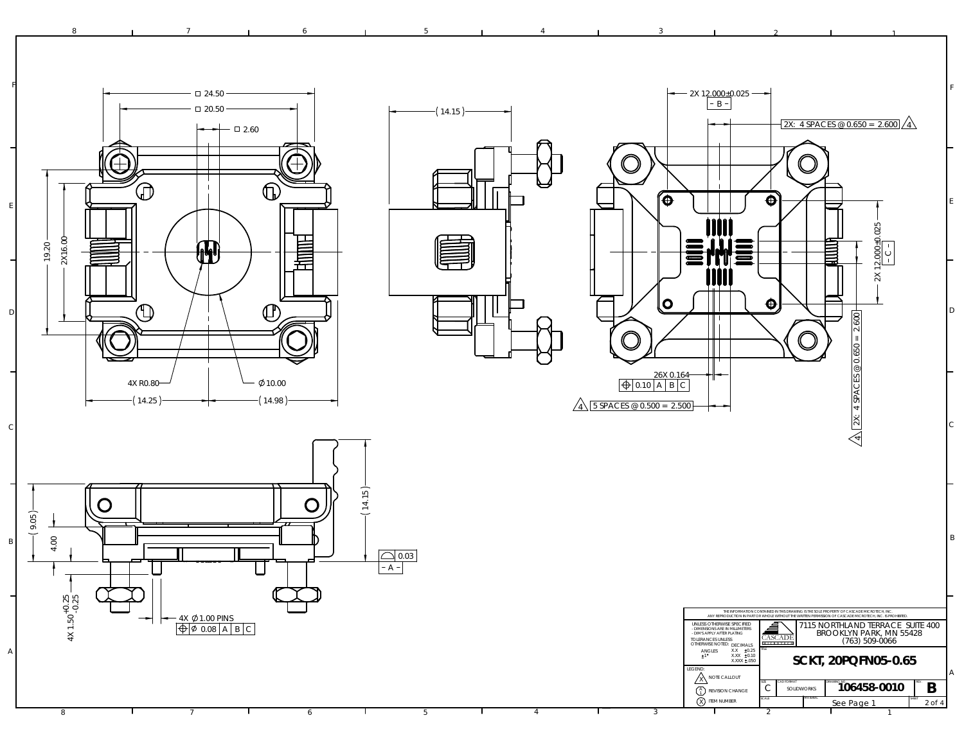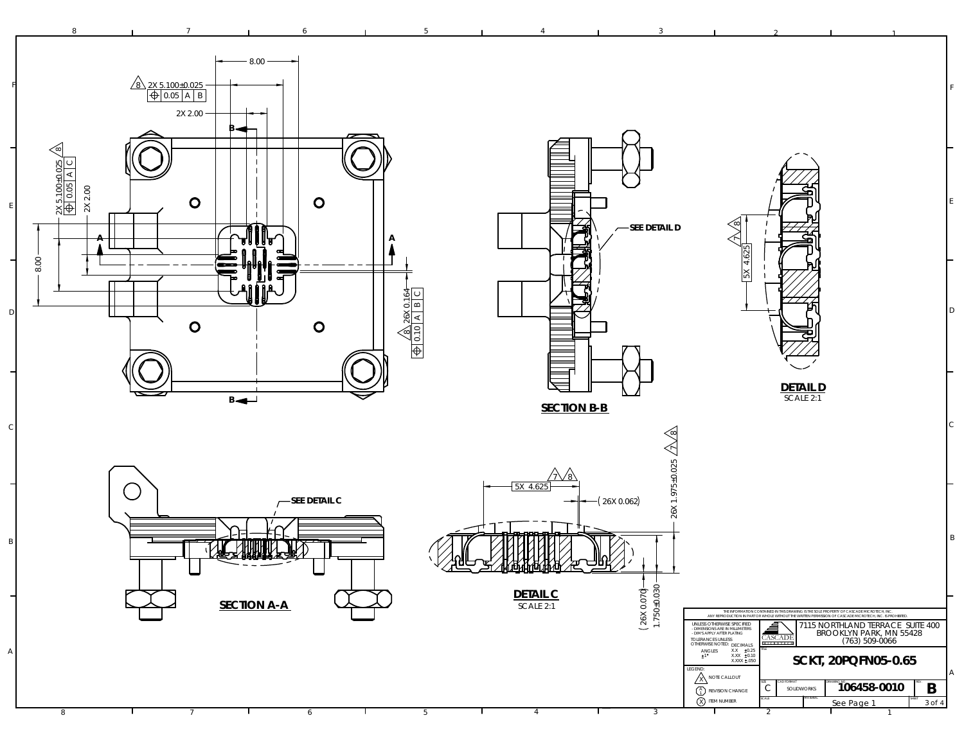